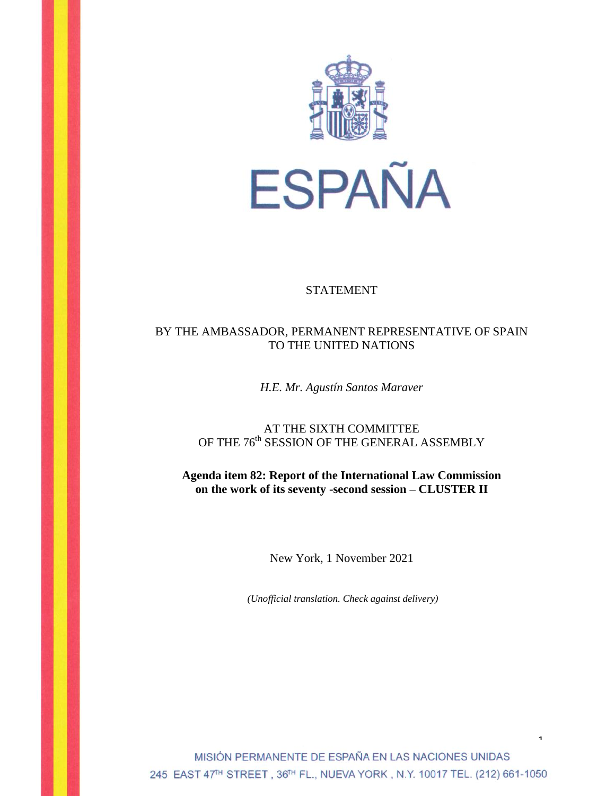

## STATEMENT

## BY THE AMBASSADOR, PERMANENT REPRESENTATIVE OF SPAIN TO THE UNITED NATIONS

*H.E. Mr. Agustín Santos Maraver*

AT THE SIXTH COMMITTEE OF THE  $76^{\text{th}}$  SESSION OF THE GENERAL ASSEMBLY

**Agenda item 82: Report of the International Law Commission on the work of its seventy -second session – CLUSTER II**

New York, 1 November 2021

*(Unofficial translation. Check against delivery)*

MISIÓN PERMANENTE DE ESPAÑA EN LAS NACIONES UNIDAS 245 EAST 47<sup>TH</sup> STREET, 36TH FL., NUEVA YORK, N.Y. 10017 TEL. (212) 661-1050

 $\ddot{\phantom{0}}$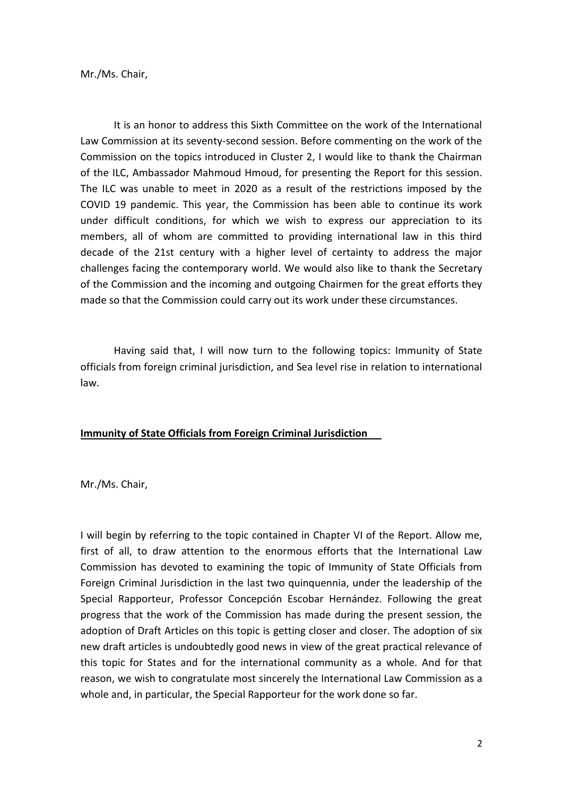Mr./Ms. Chair,

It is an honor to address this Sixth Committee on the work of the International Law Commission at its seventy-second session. Before commenting on the work of the Commission on the topics introduced in Cluster 2, I would like to thank the Chairman of the ILC, Ambassador Mahmoud Hmoud, for presenting the Report for this session. The ILC was unable to meet in 2020 as a result of the restrictions imposed by the COVID 19 pandemic. This year, the Commission has been able to continue its work under difficult conditions, for which we wish to express our appreciation to its members, all of whom are committed to providing international law in this third decade of the 21st century with a higher level of certainty to address the major challenges facing the contemporary world. We would also like to thank the Secretary of the Commission and the incoming and outgoing Chairmen for the great efforts they made so that the Commission could carry out its work under these circumstances.

Having said that, I will now turn to the following topics: Immunity of State officials from foreign criminal jurisdiction, and Sea level rise in relation to international law.

## **Immunity of State Officials from Foreign Criminal Jurisdiction**

Mr./Ms. Chair,

I will begin by referring to the topic contained in Chapter VI of the Report. Allow me, first of all, to draw attention to the enormous efforts that the International Law Commission has devoted to examining the topic of Immunity of State Officials from Foreign Criminal Jurisdiction in the last two quinquennia, under the leadership of the Special Rapporteur, Professor Concepción Escobar Hernández. Following the great progress that the work of the Commission has made during the present session, the adoption of Draft Articles on this topic is getting closer and closer. The adoption of six new draft articles is undoubtedly good news in view of the great practical relevance of this topic for States and for the international community as a whole. And for that reason, we wish to congratulate most sincerely the International Law Commission as a whole and, in particular, the Special Rapporteur for the work done so far.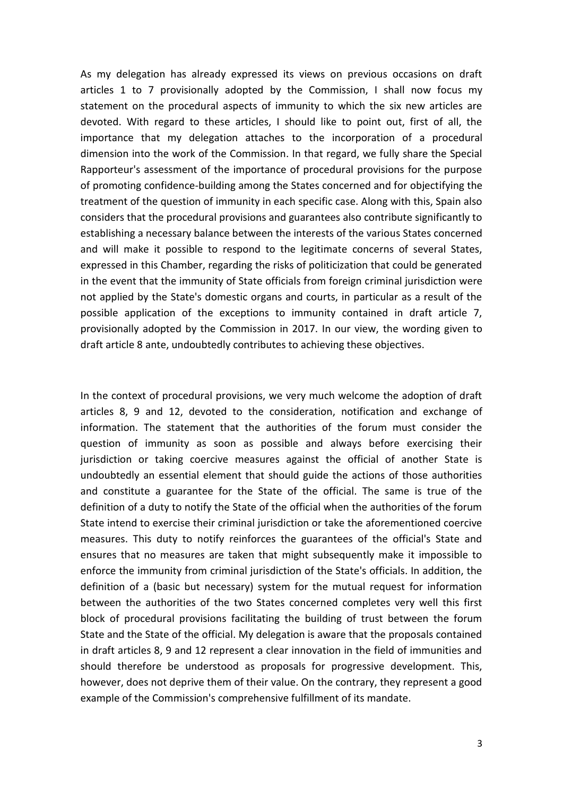As my delegation has already expressed its views on previous occasions on draft articles 1 to 7 provisionally adopted by the Commission, I shall now focus my statement on the procedural aspects of immunity to which the six new articles are devoted. With regard to these articles, I should like to point out, first of all, the importance that my delegation attaches to the incorporation of a procedural dimension into the work of the Commission. In that regard, we fully share the Special Rapporteur's assessment of the importance of procedural provisions for the purpose of promoting confidence-building among the States concerned and for objectifying the treatment of the question of immunity in each specific case. Along with this, Spain also considers that the procedural provisions and guarantees also contribute significantly to establishing a necessary balance between the interests of the various States concerned and will make it possible to respond to the legitimate concerns of several States, expressed in this Chamber, regarding the risks of politicization that could be generated in the event that the immunity of State officials from foreign criminal jurisdiction were not applied by the State's domestic organs and courts, in particular as a result of the possible application of the exceptions to immunity contained in draft article 7, provisionally adopted by the Commission in 2017. In our view, the wording given to draft article 8 ante, undoubtedly contributes to achieving these objectives.

In the context of procedural provisions, we very much welcome the adoption of draft articles 8, 9 and 12, devoted to the consideration, notification and exchange of information. The statement that the authorities of the forum must consider the question of immunity as soon as possible and always before exercising their jurisdiction or taking coercive measures against the official of another State is undoubtedly an essential element that should guide the actions of those authorities and constitute a guarantee for the State of the official. The same is true of the definition of a duty to notify the State of the official when the authorities of the forum State intend to exercise their criminal jurisdiction or take the aforementioned coercive measures. This duty to notify reinforces the guarantees of the official's State and ensures that no measures are taken that might subsequently make it impossible to enforce the immunity from criminal jurisdiction of the State's officials. In addition, the definition of a (basic but necessary) system for the mutual request for information between the authorities of the two States concerned completes very well this first block of procedural provisions facilitating the building of trust between the forum State and the State of the official. My delegation is aware that the proposals contained in draft articles 8, 9 and 12 represent a clear innovation in the field of immunities and should therefore be understood as proposals for progressive development. This, however, does not deprive them of their value. On the contrary, they represent a good example of the Commission's comprehensive fulfillment of its mandate.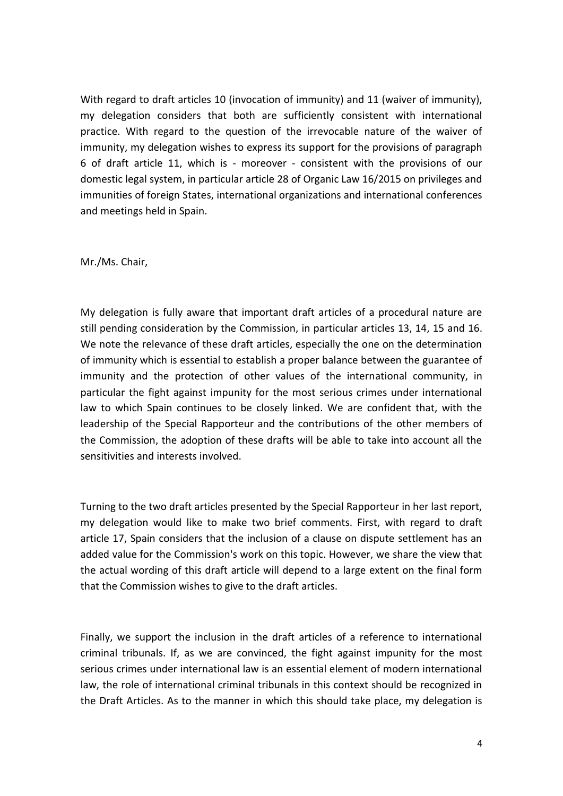With regard to draft articles 10 (invocation of immunity) and 11 (waiver of immunity), my delegation considers that both are sufficiently consistent with international practice. With regard to the question of the irrevocable nature of the waiver of immunity, my delegation wishes to express its support for the provisions of paragraph 6 of draft article 11, which is - moreover - consistent with the provisions of our domestic legal system, in particular article 28 of Organic Law 16/2015 on privileges and immunities of foreign States, international organizations and international conferences and meetings held in Spain.

Mr./Ms. Chair,

My delegation is fully aware that important draft articles of a procedural nature are still pending consideration by the Commission, in particular articles 13, 14, 15 and 16. We note the relevance of these draft articles, especially the one on the determination of immunity which is essential to establish a proper balance between the guarantee of immunity and the protection of other values of the international community, in particular the fight against impunity for the most serious crimes under international law to which Spain continues to be closely linked. We are confident that, with the leadership of the Special Rapporteur and the contributions of the other members of the Commission, the adoption of these drafts will be able to take into account all the sensitivities and interests involved.

Turning to the two draft articles presented by the Special Rapporteur in her last report, my delegation would like to make two brief comments. First, with regard to draft article 17, Spain considers that the inclusion of a clause on dispute settlement has an added value for the Commission's work on this topic. However, we share the view that the actual wording of this draft article will depend to a large extent on the final form that the Commission wishes to give to the draft articles.

Finally, we support the inclusion in the draft articles of a reference to international criminal tribunals. If, as we are convinced, the fight against impunity for the most serious crimes under international law is an essential element of modern international law, the role of international criminal tribunals in this context should be recognized in the Draft Articles. As to the manner in which this should take place, my delegation is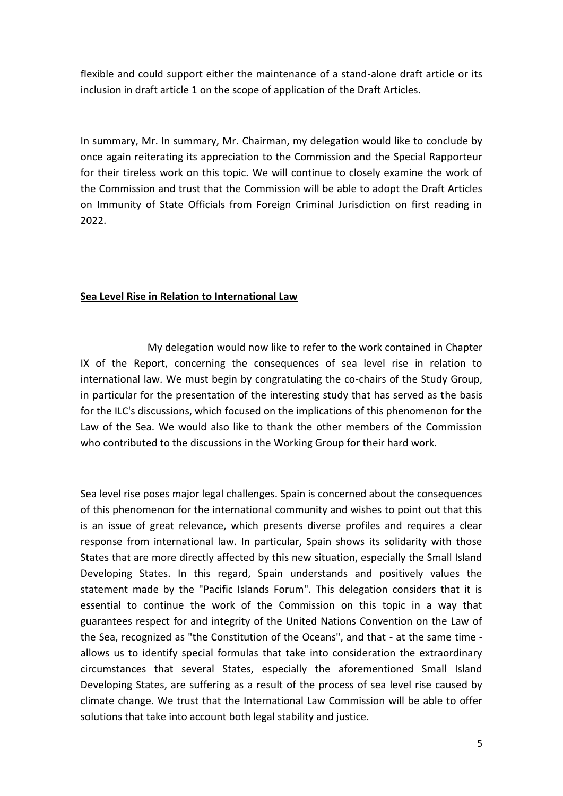flexible and could support either the maintenance of a stand-alone draft article or its inclusion in draft article 1 on the scope of application of the Draft Articles.

In summary, Mr. In summary, Mr. Chairman, my delegation would like to conclude by once again reiterating its appreciation to the Commission and the Special Rapporteur for their tireless work on this topic. We will continue to closely examine the work of the Commission and trust that the Commission will be able to adopt the Draft Articles on Immunity of State Officials from Foreign Criminal Jurisdiction on first reading in 2022.

## **Sea Level Rise in Relation to International Law**

My delegation would now like to refer to the work contained in Chapter IX of the Report, concerning the consequences of sea level rise in relation to international law. We must begin by congratulating the co-chairs of the Study Group, in particular for the presentation of the interesting study that has served as the basis for the ILC's discussions, which focused on the implications of this phenomenon for the Law of the Sea. We would also like to thank the other members of the Commission who contributed to the discussions in the Working Group for their hard work.

Sea level rise poses major legal challenges. Spain is concerned about the consequences of this phenomenon for the international community and wishes to point out that this is an issue of great relevance, which presents diverse profiles and requires a clear response from international law. In particular, Spain shows its solidarity with those States that are more directly affected by this new situation, especially the Small Island Developing States. In this regard, Spain understands and positively values the statement made by the "Pacific Islands Forum". This delegation considers that it is essential to continue the work of the Commission on this topic in a way that guarantees respect for and integrity of the United Nations Convention on the Law of the Sea, recognized as "the Constitution of the Oceans", and that - at the same time allows us to identify special formulas that take into consideration the extraordinary circumstances that several States, especially the aforementioned Small Island Developing States, are suffering as a result of the process of sea level rise caused by climate change. We trust that the International Law Commission will be able to offer solutions that take into account both legal stability and justice.